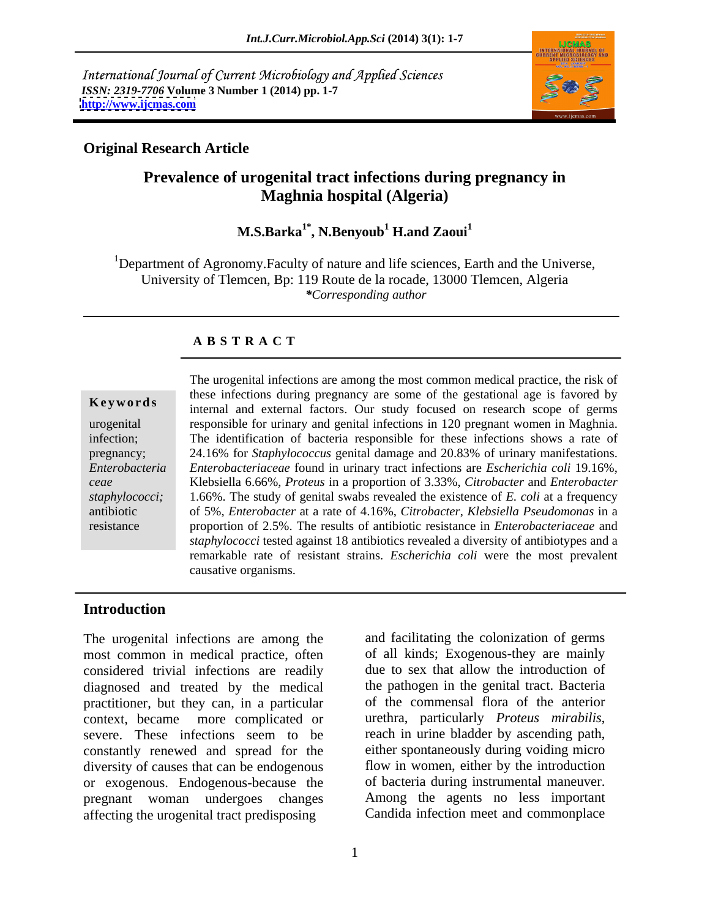International Journal of Current Microbiology and Applied Sciences *ISSN: 2319-7706* **Volume 3 Number 1 (2014) pp. 1-7 <http://www.ijcmas.com>**



### **Original Research Article**

# **Prevalence of urogenital tract infections during pregnancy in Maghnia hospital (Algeria)**

# **M.S.Barka1\* , N.Benyoub<sup>1</sup> H.and Zaoui<sup>1</sup>**

<sup>1</sup>Department of Agronomy.Faculty of nature and life sciences, Earth and the Universe, University of Tlemcen, Bp: 119 Route de la rocade, 13000 Tlemcen, Algeria *\*Corresponding author* 

### **A B S T R A C T**

**Keywords** internal and external factors. Our study focused on research scope of germs urogenital responsible for urinary and genital infections in 120 pregnant women in Maghnia. infection; responsible for urinary and genital infections in <sup>120</sup> pregnant women in Maghnia. The identification of bacteria responsible for these infections shows <sup>a</sup> rate of pregnancy; 24.16% for *Staphylococcus* genital damage and 20.83% of urinary manifestations. *Enterobacteria Enterobacteriaceae* found in urinary tract infections are *Escherichia coli* 19.16%, *ceae* Klebsiella 6.66%, *Proteus* in a proportion of 3.33%, *Citrobacter* and *Enterobacter staphylococci;* 1.66%. The study of genital swabs revealed the existence of*E. coli* at a frequency antibiotic of 5%, *Enterobacter* at a rate of 4.16%, *Citrobacter*, *Klebsiella Pseudomonas* in a resistance proportion of 2.5%. The results of antibiotic resistance in *Enterobacteriaceae* and The urogenital infections are among the most common medical practice, the risk of these infections during pregnancy are some of the gestational age is favored by *staphylococci* tested against 18 antibiotics revealed a diversity of antibiotypes and a remarkable rate of resistant strains. *Escherichia coli* were the most prevalent causative organisms.

## **Introduction**

The urogenital infections are among the most common in medical practice, often considered trivial infections are readily diagnosed and treated by the medical practitioner, but they can, in a particular context, became more complicated or urethra, particularly *Proteus mirabilis*, severe. These infections seem to be reach in urine bladder by ascending path, severe. These infections seem to be reach in urine bladder by ascending path, constantly renewed and spread for the either spontaneously during voiding micro diversity of causes that can be endogenous or exogenous. Endogenous-because the pregnant woman undergoes changes affecting the urogenital tract predisposing

and facilitating the colonization of germs of all kinds; Exogenous-they are mainly due to sex that allow the introduction of the pathogen in the genital tract. Bacteria of the commensal flora of the anterior urethra, particularly *Proteus mirabilis*, reach in urine bladder by ascending path, either spontaneously during voiding micro flow in women, either by the introduction of bacteria during instrumental maneuver. Among the agents no less important Candida infection meet and commonplace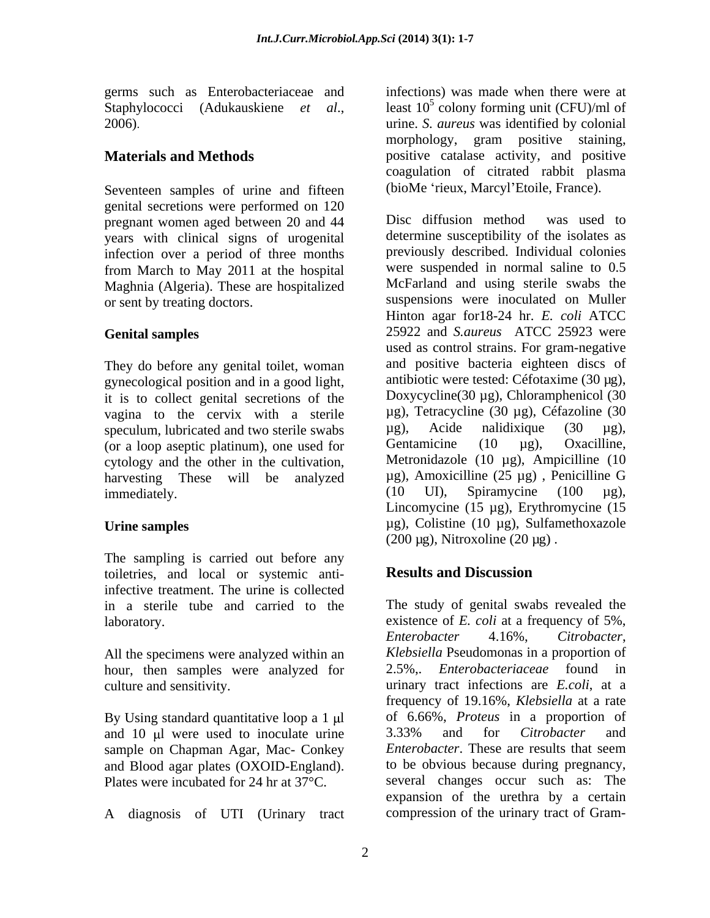germs such as Enterobacteriaceae and

Seventeen samples of urine and fifteen genital secretions were performed on 120<br>pregnant women aged between 20 and 44 Disc diffusion method was used to pregnant women aged between 20 and 44 years with clinical signs of urogenital infection over a period of three months from March to May 2011 at the hospital Maghnia (Algeria). These are hospitalized

They do before any genital toilet, woman vagina to the cervix with a sterile  $\mu$ g), Tetracycline (30  $\mu$ g), Céfazoline (30 speculum lubricated and two sterile swabs  $\mu$ g), Acide nalidixique (30  $\mu$ g), speculum, lubricated and two sterile swabs  $\mu$ g), Acide nalidixique (30  $\mu$ g), (or a loop asentic platinum) one used for Gentamicine (10  $\mu$ g), Oxacilline, (or a loop aseptic platinum), one used for

The sampling is carried out before any toiletries, and local or systemic anti-<br>Results and Discussion infective treatment. The urine is collected in a sterile tube and carried to the

All the specimens were analyzed within an hour, then samples were analyzed for

and 10 µ were used to inoculate urine 3.33% and for *Citrobacter* and sample on Chapman Agar. Mac- Conkey *Enterobacter*. These are results that seem sample on Chapman Agar, Mac- Conkey and Blood agar plates (OXOID-England). Plates were incubated for 24 hr at 37°C.

A diagnosis of UTI (Urinary tract

Staphylococci (Adukauskiene *et al.*, least 10<sup>5</sup> colony forming unit (CFU)/ml of urine. *S. aureus* was identified by colonial **Materials and Methods positive** catalase activity, and positive infections) was made when there were at least  $10^5$  colony forming unit (CFU)/ml of morphology, gram positive staining, coagulation of citrated rabbit plasma (bioMe 'rieux, Marcyl'Etoile, France).

or sent by treating doctors. suspensions were inoculated on Muller **Genital samples** 25922 and *S.aureus* ATCC 25923 were gynecological position and in a good light, antibiotic were tested: Céfotaxime (30  $\mu$ g), it is to collect genital secretions of the Doxycycline (30  $\mu$ g), Chloramphenicol (30 cytology and the other in the cultivation, Metronidazole (10  $\mu$ g), Ampicilline (10 harvesting These will be analyzed  $\mu$ g), Amoxicilline (25  $\mu$ g), Penicilline G immediately. (10 U1), Spiramycine (100 µg), Urine samples 
ug), Colistine (10 µg), Sulfamethoxazole Disc diffusion method was used to determine susceptibility of the isolates as previously described. Individual colonies were suspended in normal saline to 0.5 McFarland and using sterile swabs the Hinton agar for18-24 hr. *E. coli* ATCC used as control strains. For gram-negative and positive bacteria eighteen discs of antibiotic were tested: Céfotaxime (30 µg), Doxycycline(30 µg), Chloramphenicol (30 µg), Tetracycline (30 µg), Céfazoline (30 µg), Acide nalidixique (30 µg), Gentamicine (10 µg), Oxacilline, Metronidazole (10 µg), Ampicilline (10 µg), Amoxicilline (25 µg) , Penicilline G (10 UI), Spiramycine (100 µg), Lincomycine (15 µg), Erythromycine (15  $(200 \,\mu g)$ , Nitroxoline  $(20 \,\mu g)$ .

# **Results and Discussion**

laboratory. existence of *E. coli* at a frequency of 5%, culture and sensitivity. urinary tract infections are *E.coli*, at a By Using standard quantitative loop a 1 µl of 6.66%, *Proteus* in a proportion of The study of genital swabs revealed the *Enterobacter* 4.16%, *Citrobacter*, *Klebsiella* Pseudomonas in a proportion of 2.5%,. *Enterobacteriaceae* found in frequency of 19.16%, *Klebsiella* at a rate 3.33% and for *Citrobacter* and *Enterobacter*. These are results that seem to be obvious because during pregnancy, several changes occur such as: The expansion of the urethra by a certain compression of the urinary tract of Gram-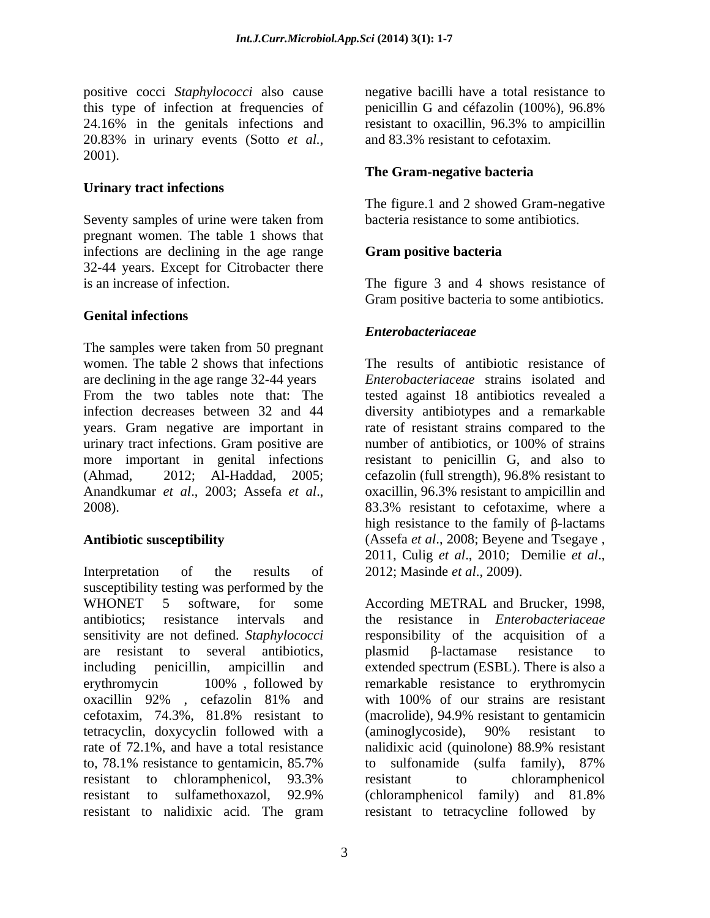positive cocci *Staphylococci* also cause negative bacilli have a total resistance to this type of infection at frequencies of penicillin G and certain (100%), 96.8% 24.16% in the genitals infections and resistant to oxacillin, 96.3% to ampicillin 20.83% in urinary events (Sotto *et al.,* 2001).

## **Urinary tract infections**

Seventy samples of urine were taken from bacteria resistance to some antibiotics. pregnant women. The table 1 shows that infections are declining in the age range **Gram positive bacteria** 32-44 years. Except for Citrobacter there is an increase of infection. is an increase of infection. The figure 3 and 4 shows resistance of

## **Genital infections**

The samples were taken from 50 pregnant women. The table 2 shows that infections are declining in the age range 32-44 years *Enterobacteriaceae* strains isolated and From the two tables note that: The tested against 18 antibiotics revealed a infection decreases between 32 and 44 diversity antibiotypes and a remarkable years. Gram negative are important in rate of resistant strains compared to the urinary tract infections. Gram positive are mumber of antibiotics, or 100% of strains more important in genital infections resistant to penicillin G, and also to (Ahmad, 2012; Al-Haddad, 2005; cefazolin (full strength), 96.8% resistant to Anandkumar *et al.*, 2003; Assefa *et al.*, oxacillin, 96.3% resistant to ampicillin and 2008).<br>2008). 83.3% resistant to cefotaxime, where a

Interpretation of the results of 2012; Masinde *et al.*, 2009). susceptibility testing was performed by the WHONET 5 software, for some According METRAL and Brucker, 1998, antibiotics; resistance intervals and the resistance in *Enterobacteriaceae* sensitivity are not defined. *Staphylococci* responsibility of the acquisition of a are resistant to several antibiotics, plasmid  $\beta$ -lactamase resistance to including penicillin, ampicillin and extended spectrum (ESBL). There is also a erythromycin 100%, followed by remarkable resistance to erythromycin oxacillin 92% , cefazolin 81% and cefotaxim, 74.3%, 81.8% resistant to tetracyclin, doxycyclin followed with a (aminoglycoside), 90% resistant to rate of 72.1%, and have a total resistance nalidixic acid (quinolone) 88.9% resistant rate of 72.1%, and have a total resistance nalidixic acid (quinolone) 88.9% resistant to, 78.1% resistance to gentamicin, 85.7% resistant to chloramphenicol, 93.3% resistant to sulfamethoxazol, 92.9% resistant to nalidixic acid. The gram

penicillin G and céfazolin (100%), 96.8% resistant to oxacillin, 96.3% to ampicillin and 83.3% resistant to cefotaxim.

## **The Gram-negative bacteria**

The figure.1 and 2 showed Gram-negative bacteria resistance to some antibiotics.

## **Gram positive bacteria**

Gram positive bacteria to some antibiotics.

## *Enterobacteriaceae*

Antibiotic susceptibility (Assefa et al., 2008; Beyene and Tsegaye, The results of antibiotic resistance of number of antibiotics, or 100% of strains oxacillin, 96.3% resistant to ampicillin and 83.3% resistant to cefotaxime, where a high resistance to the family of  $\beta$ -lactams (Assefa *et al*., 2008; Beyene and Tsegaye , 2011, Culig *et al*., 2010; Demilie*et al*., 2012; Masinde *et al*., 2009).

> plasmid  $\beta$ -lactamase resistance to remarkable resistance to erythromycin with 100% of our strains are resistant (macrolide), 94.9% resistant to gentamicin (aminoglycoside), 90% resistant to to sulfonamide (sulfa family), 87% resistant to chloramphenicol (chloramphenicol family) and 81.8% resistant to tetracycline followed by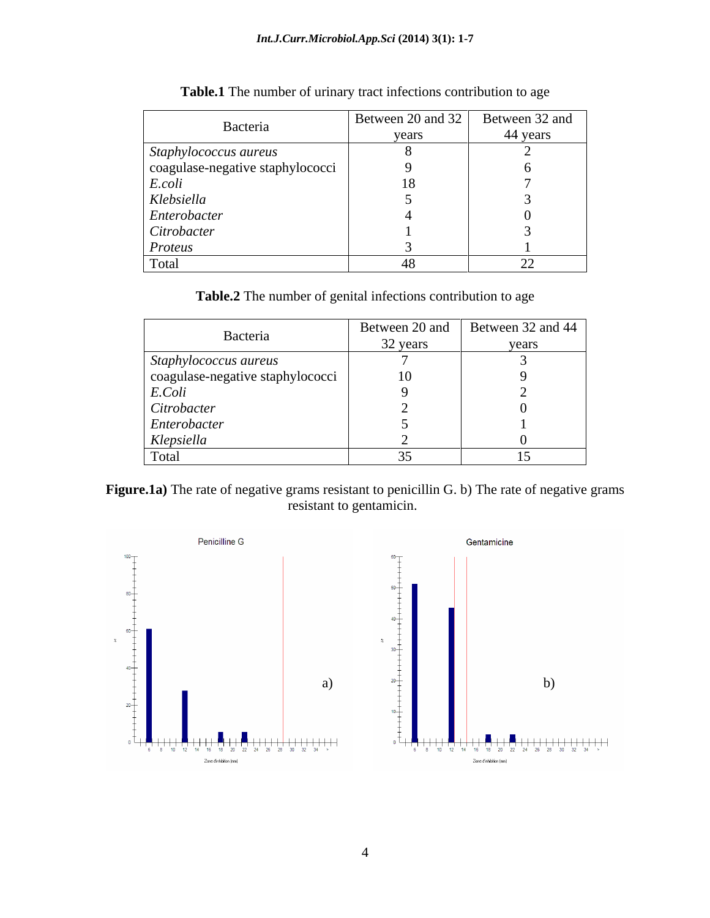| Bacteria                         | Between 20 and 32<br>years | Between 32 and<br>44 years |
|----------------------------------|----------------------------|----------------------------|
| Staphylococcus aureus            |                            |                            |
| coagulase-negative staphylococci |                            |                            |
| E.coli                           | 1 O                        |                            |
| Klebsiella                       |                            |                            |
| Enterobacter                     |                            |                            |
| Citrobacter                      |                            |                            |
| Proteus                          |                            |                            |
| Total                            |                            | $\cap$                     |

**Table.1** The number of urinary tract infections contribution to age

**Table.2** The number of genital infections contribution to age

| Bacteria                         | Between 20 and | Between 32 and 44 $\vert$ |
|----------------------------------|----------------|---------------------------|
|                                  | 32 years       | years                     |
| Staphylococcus aureus            |                |                           |
| coagulase-negative staphylococci | 10             |                           |
| E.Coli                           |                |                           |
| Citrobacter                      |                |                           |
| Enterobacter                     |                |                           |
| Klepsiella                       |                |                           |
| Total                            |                |                           |

Figure.1a) The rate of negative grams resistant to penicillin G. b) The rate of negative grams resistant to gentamicin.

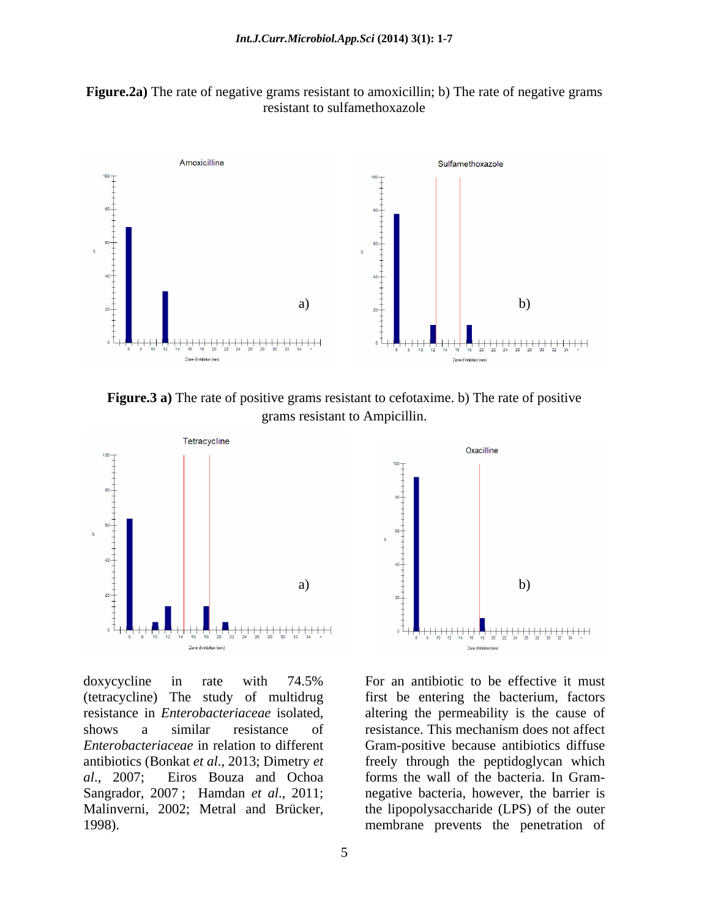



**Figure.3 a)** The rate of positive grams resistant to cefotaxime. b) The rate of positive grams resistant to Ampicillin.



(tetracycline) The study of multidrug first be entering the bacterium, factors resistance in *Enterobacteriaceae* isolated, altering the permeability is the cause of shows a similar resistance of resistance. This mechanism does not affect *Enterobacteriaceae* in relation to different Gram-positive because antibiotics diffuse antibiotics (Bonkat *et al*., 2013; Dimetry *et al*., 2007; Eiros Bouza and Ochoa forms the wall of the bacteria. In Gram- Sangrador, 2007 ; Hamdan *et al*., 2011; negative bacteria, however, the barrier is Malinverni, 2002; Metral and Brücker, the lipopolysaccharide (LPS) of the outer 1998). membrane prevents the penetration of



doxycycline in rate with 74.5% For an antibiotic to be effective it must For an antibiotic to be effective it must altering the permeability is the cause of resistance. This mechanism does not affect freely through the peptidoglycan which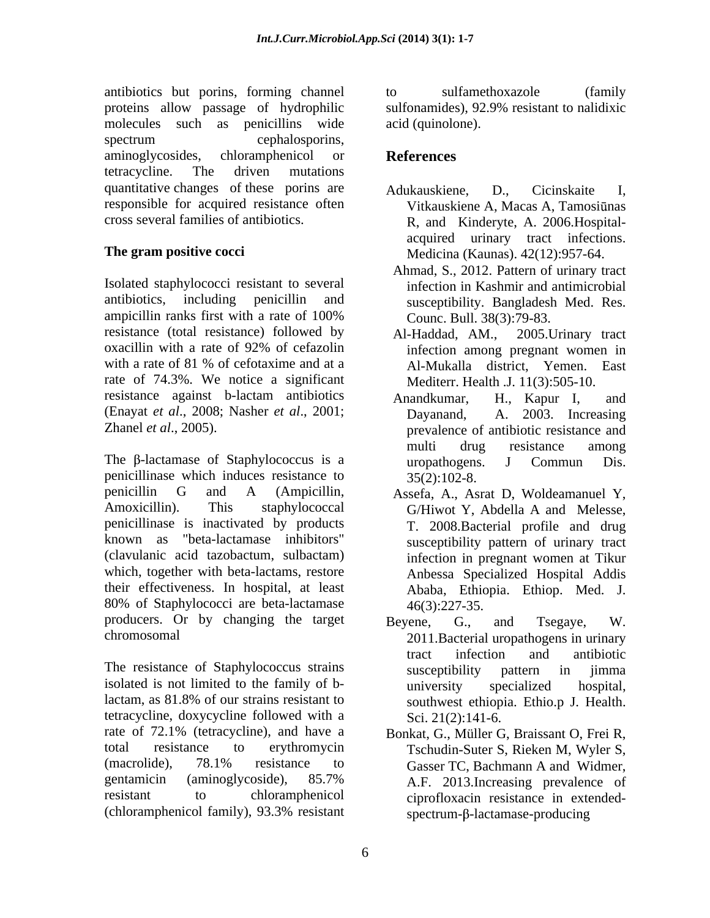antibiotics but porins, forming channel proteins allow passage of hydrophilic sulfonamides), 92.9% resistant to nalidixic molecules such as penicillins wide spectrum cephalosporins, aminoglycosides, chloramphenicol or **References** tetracycline. The driven mutations quantitative changes of these porins are Adukauskiene. D., Cicinskaite I. responsible for acquired resistance often Vitkauskiene A, Macas A, Tamosiūnas

Isolated staphylococci resistant to several antibiotics, including penicillin and susceptibility. Bangladesh Med. Res. ampicillin ranks first with a rate of 100% resistance (total resistance) followed by Al-Haddad, AM., 2005. Urinary tract oxacillin with a rate of 92% of cefazolin with a rate of 81 % of cefotaxime and at a <br>Al-Mukalla district. Yemen. East rate of 74.3%. We notice a significant resistance against b-lactam antibiotics Anandkumar, H., Kapur I, and (Enayat *et al*., 2008; Nasher *et al*., 2001; Zhanel *et al*., 2005). prevalence of antibiotic resistance and

The  $\beta$ -lactamase of Staphylococcus is a curopathogens. J Commun Dis. penicillinase which induces resistance to  $35(2):102-8$ . penicillin G and A (Ampicillin, Assefa, A., Asrat D, Woldeamanuel Y, Amoxicillin). This staphylococcal G/Hiwot Y, Abdella A and Melesse, penicillinase is inactivated by products known as "beta-lactamase inhibitors" susceptibility pattern of urinary tract (clavulanic acid tazobactum, sulbactam) which, together with beta-lactams, restore their effectiveness. In hospital, at least 80% of Staphylococci are beta-lactamase  $46(3):227-35$ . producers. Or by changing the target Beyene, G., and Tsegaye, W.

The resistance of Staphylococcus strains susceptibility pattern in jimma isolated is not limited to the family of b-<br>university specialized hospital, lactam, as 81.8% of our strains resistant to tetracycline, doxycycline followed with a rate of 72.1% (tetracycline), and have a Bonkat, G., Müller G. Braissant O. Frei R. total resistance to erythromycin Tschudin-Suter S, Rieken M, Wyler S, (macrolide), 78.1% resistance to Gasser TC Bachmann A and Widmer. gentamicin (aminoglycoside), 85.7% resistant to chloramphenicol ciprofloxacin resistance in extended-

to sulfamethoxazole (family sulfonamides), 92.9% resistant to nalidixic acid (quinolone).

# **References**

- cross several families of antibiotics. R, and Kinderyte, A. 2006.Hospital- **The gram positive cocci** Medicina (Kaunas). 42(12):957-64. Adukauskiene, D., Cicinskaite I,<br>Vitkauskiene A, Macas A, Tamosiūnas acquired urinary tract infections.
	- Ahmad, S., 2012. Pattern of urinary tract infection in Kashmir and antimicrobial Counc. Bull. 38(3):79-83.
	- Al-Haddad, AM., 2005.Urinary tract infection among pregnant women in Al-Mukalla district, Yemen. East Mediterr. Health .J. 11(3):505-10.
	- Anandkumar, H., Kapur I, and A. 2003. Increasing multi drug resistance among uropathogens. J Commun Dis.  $35(2):102-8.$
	- Assefa, A., Asrat D, Woldeamanuel Y, G/Hiwot Y, Abdella <sup>A</sup> and Melesse, T. 2008.Bacterial profile and drug infection in pregnant women at Tikur Anbessa Specialized Hospital Addis Ababa, Ethiopia. Ethiop. Med. J. 46(3):227-35.
- chromosomal 2011.Bacterial uropathogens in urinary Beyene, G., and Tsegaye, W. tract infection and antibiotic susceptibility pattern in jimma university specialized hospital, southwest ethiopia. Ethio.p J. Health. Sci. 21(2):141-6.
- (chloramphenicol family), 93.3% resistant Bonkat, G., Müller G, Braissant O, Frei R, Tschudin-Suter S, Rieken M, Wyler S, Gasser TC, Bachmann A and Widmer, A.F. 2013.Increasing prevalence of  $spectrum - \beta$ -lactamase-producing